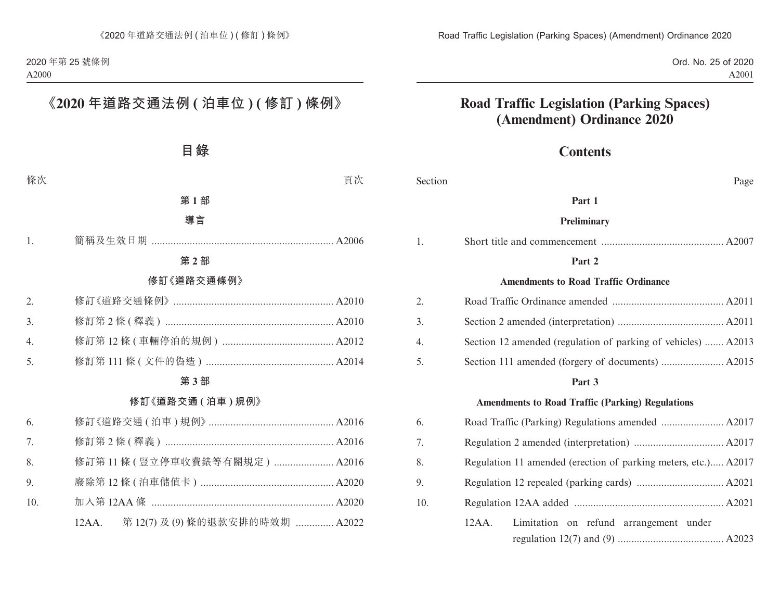Ord. No. 25 of 2020 A2001

## **Road Traffic Legislation (Parking Spaces) (Amendment) Ordinance 2020**

## **Contents**

| Section          | Page                                                           |  |
|------------------|----------------------------------------------------------------|--|
|                  | Part 1                                                         |  |
|                  | <b>Preliminary</b>                                             |  |
| 1.               |                                                                |  |
|                  | Part 2                                                         |  |
|                  | <b>Amendments to Road Traffic Ordinance</b>                    |  |
| 2.               |                                                                |  |
| 3.               |                                                                |  |
| $\overline{4}$ . | Section 12 amended (regulation of parking of vehicles)  A2013  |  |
| 5.               |                                                                |  |
|                  | Part 3                                                         |  |
|                  | <b>Amendments to Road Traffic (Parking) Regulations</b>        |  |
| 6.               |                                                                |  |
| 7.               |                                                                |  |
| 8.               | Regulation 11 amended (erection of parking meters, etc.) A2017 |  |
| 9.               |                                                                |  |
| 10.              |                                                                |  |
|                  | Limitation on refund arrangement under<br>$12AA$ .             |  |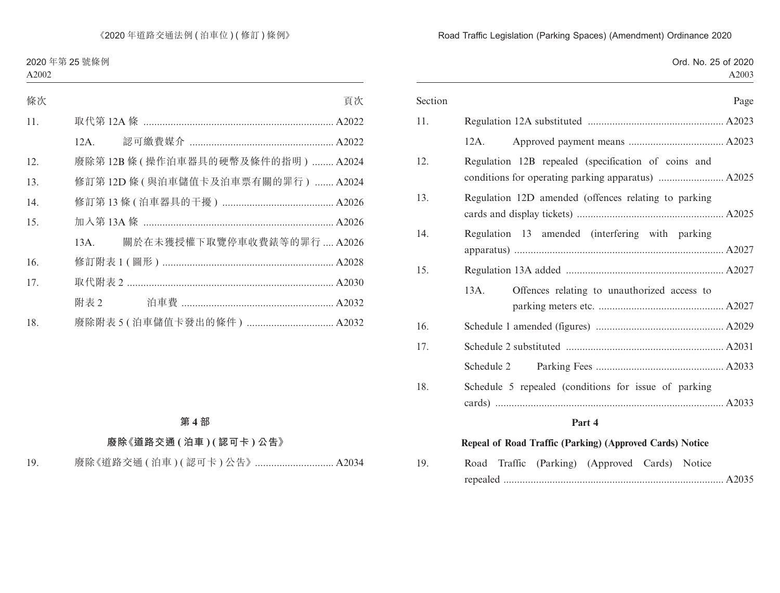|                                                             | Ord. No. 25 of 2020<br>A2003 |
|-------------------------------------------------------------|------------------------------|
| Section                                                     | Page                         |
| 11.                                                         |                              |
| 12A.                                                        |                              |
| 12.<br>Regulation 12B repealed (specification of coins and  |                              |
| 13.<br>Regulation 12D amended (offences relating to parking |                              |
| 14.<br>Regulation 13 amended (interfering with parking      |                              |
| 15.                                                         |                              |
| 13A.<br>Offences relating to unauthorized access to         |                              |
| 16.                                                         |                              |
| 17.                                                         |                              |
| Schedule 2                                                  |                              |
| 18.<br>Schedule 5 repealed (conditions for issue of parking |                              |
| Part 4                                                      |                              |
| Repeal of Road Traffic (Parking) (Approved Cards) Notice    |                              |
| 19.<br>Road Traffic (Parking) (Approved Cards) Notice       |                              |

repealed ................................................................................. A2035

#### Road Traffic Legislation (Parking Spaces) (Amendment) Ordinance 2020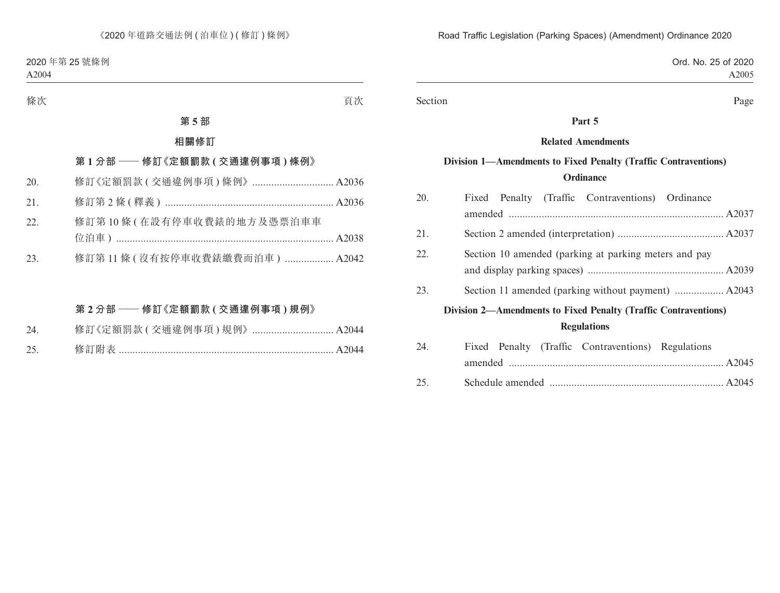Ord. No. 25 of 2020 A2005

Section Page

#### **Part 5**

#### **Related Amendments**

## **Division 1—Amendments to Fixed Penalty (Traffic Contraventions) Ordinance**

| 20.                                                             | Fixed Penalty (Traffic Contraventions) Ordinance      |  |
|-----------------------------------------------------------------|-------------------------------------------------------|--|
|                                                                 |                                                       |  |
| 21.                                                             |                                                       |  |
| 22.                                                             | Section 10 amended (parking at parking meters and pay |  |
|                                                                 |                                                       |  |
| 23.                                                             |                                                       |  |
| Division 2-Amendments to Fixed Penalty (Traffic Contraventions) |                                                       |  |
|                                                                 | <b>Regulations</b>                                    |  |
| 24.                                                             | Fixed Penalty (Traffic Contraventions) Regulations    |  |
|                                                                 |                                                       |  |
| 25.                                                             |                                                       |  |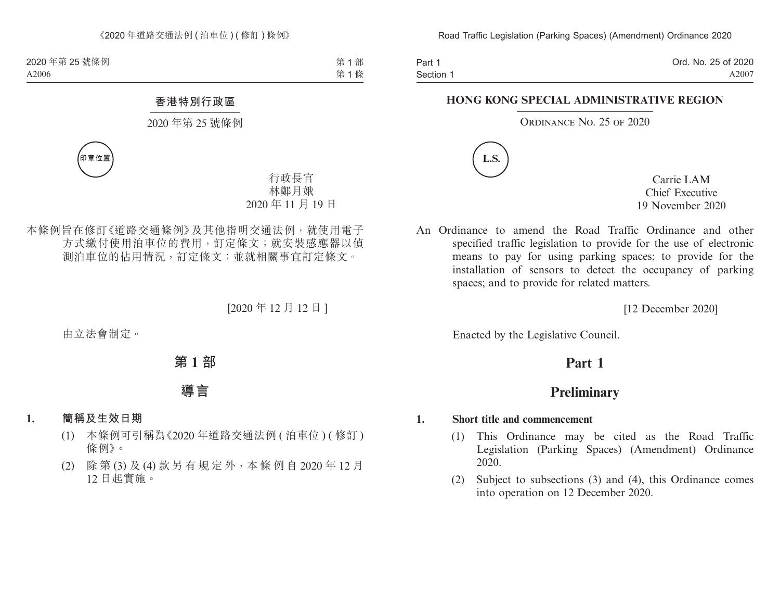Part 1 Section 1 Ord. No. 25 of 2020 A2007

#### **HONG KONG SPECIAL ADMINISTRATIVE REGION**

#### ORDINANCE NO. 25 OF 2020



Carrie LAM Chief Executive 19 November 2020

An Ordinance to amend the Road Traffic Ordinance and other specified traffic legislation to provide for the use of electronic means to pay for using parking spaces; to provide for the installation of sensors to detect the occupancy of parking spaces; and to provide for related matters.

[12 December 2020]

Enacted by the Legislative Council.

## **Part 1**

## **Preliminary**

#### **1. Short title and commencement**

- (1) This Ordinance may be cited as the Road Traffic Legislation (Parking Spaces) (Amendment) Ordinance 2020.
- (2) Subject to subsections (3) and (4), this Ordinance comes into operation on 12 December 2020.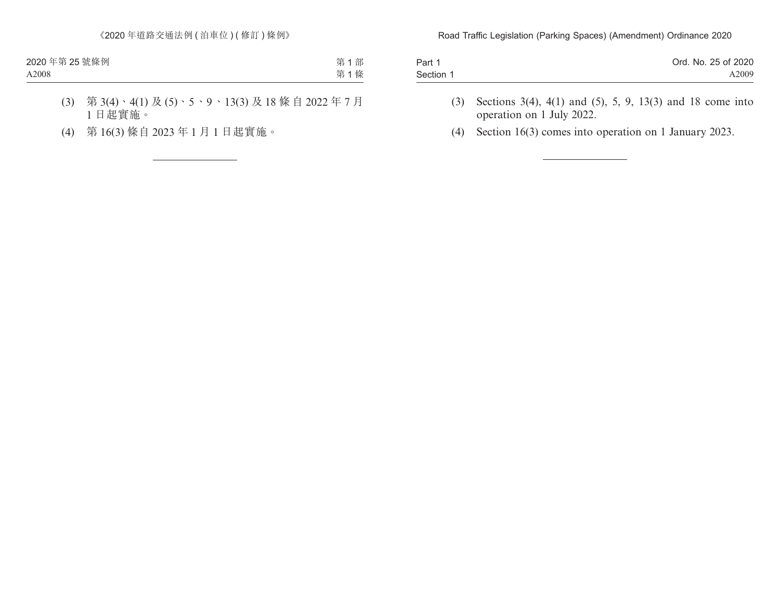| Part 1    | Ord. No. 25 of 2020 |
|-----------|---------------------|
| Section 1 | A2009               |

- (3) Sections 3(4), 4(1) and (5), 5, 9, 13(3) and 18 come into operation on 1 July 2022.
- (4) Section 16(3) comes into operation on 1 January 2023.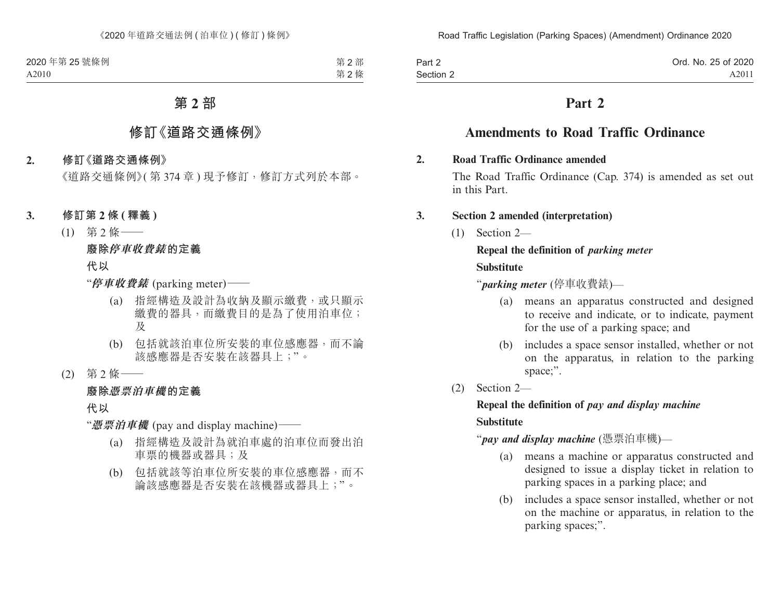| Part 2    | Ord. No. 25 of 2020 |
|-----------|---------------------|
| Section 2 | A2011               |

## **Part 2**

## **Amendments to Road Traffic Ordinance**

#### **2. Road Traffic Ordinance amended**

The Road Traffic Ordinance (Cap. 374) is amended as set out in this Part.

#### **3. Section 2 amended (interpretation)**

(1) Section 2—

#### **Repeal the definition of** *parking meter*

### **Substitute**

"*parking meter* (停車收費錶)—

- (a) means an apparatus constructed and designed to receive and indicate, or to indicate, payment for the use of a parking space; and
- (b) includes a space sensor installed, whether or not on the apparatus, in relation to the parking space;".
- (2) Section 2—

## **Repeal the definition of** *pay and display machine*

#### **Substitute**

"*pay and display machine* (憑票泊車機)—

- (a) means a machine or apparatus constructed and designed to issue a display ticket in relation to parking spaces in a parking place; and
- (b) includes a space sensor installed, whether or not on the machine or apparatus, in relation to the parking spaces;".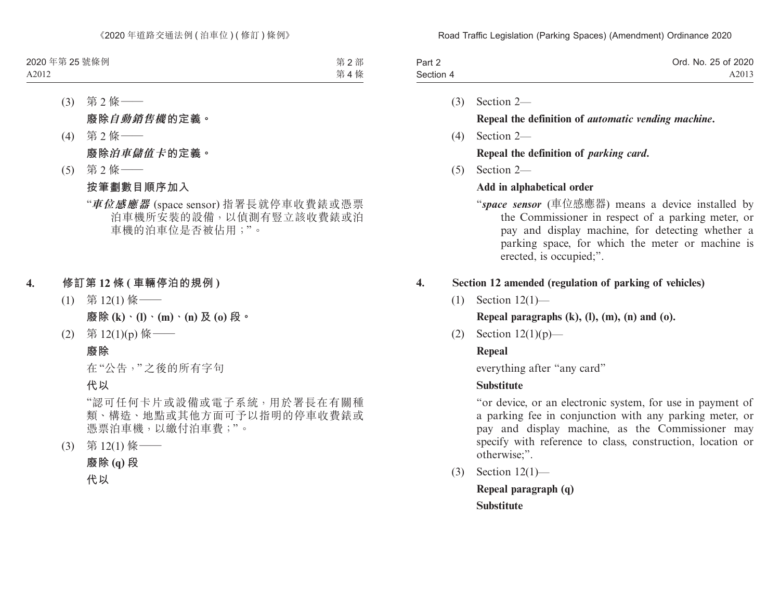| Part 2    | Ord. No. 25 of 2020 |
|-----------|---------------------|
| Section 4 | A2013               |
|           |                     |

- (3) Section 2— **Repeal the definition of** *automatic vending machine***.**
- (4) Section 2—

#### **Repeal the definition of** *parking card***.**

(5) Section 2—

## **Add in alphabetical order**

"*space sensor* (車位感應器) means a device installed by the Commissioner in respect of a parking meter, or pay and display machine, for detecting whether a parking space, for which the meter or machine is erected, is occupied;".

## **4. Section 12 amended (regulation of parking of vehicles)**

(1) Section 12(1)—

#### **Repeal paragraphs (k), (l), (m), (n) and (o).**

(2) Section 12(1)(p)—

## **Repeal**

everything after "any card"

## **Substitute**

"or device, or an electronic system, for use in payment of a parking fee in conjunction with any parking meter, or pay and display machine, as the Commissioner may specify with reference to class, construction, location or otherwise;".

(3) Section 12(1)—

**Repeal paragraph (q) Substitute**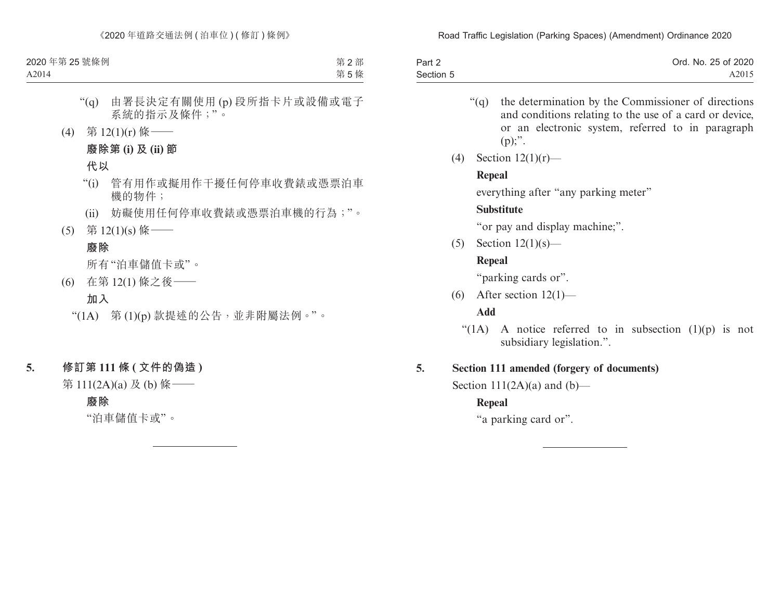| Part 2    | Ord. No. 25 of 2020 |
|-----------|---------------------|
| Section 5 | A2015               |

- "(q) the determination by the Commissioner of directions and conditions relating to the use of a card or device, or an electronic system, referred to in paragraph  $(p)$ ;".
- (4) Section 12(1)(r)—

#### **Repeal**

everything after "any parking meter"

#### **Substitute**

"or pay and display machine;".

(5) Section 12(1)(s)—

#### **Repeal**

"parking cards or".

(6) After section  $12(1)$ —

#### **Add**

"(1A) A notice referred to in subsection  $(1)(p)$  is not subsidiary legislation.".

#### **5. Section 111 amended (forgery of documents)**

Section  $111(2A)(a)$  and  $(b)$ —

## **Repeal**

"a parking card or".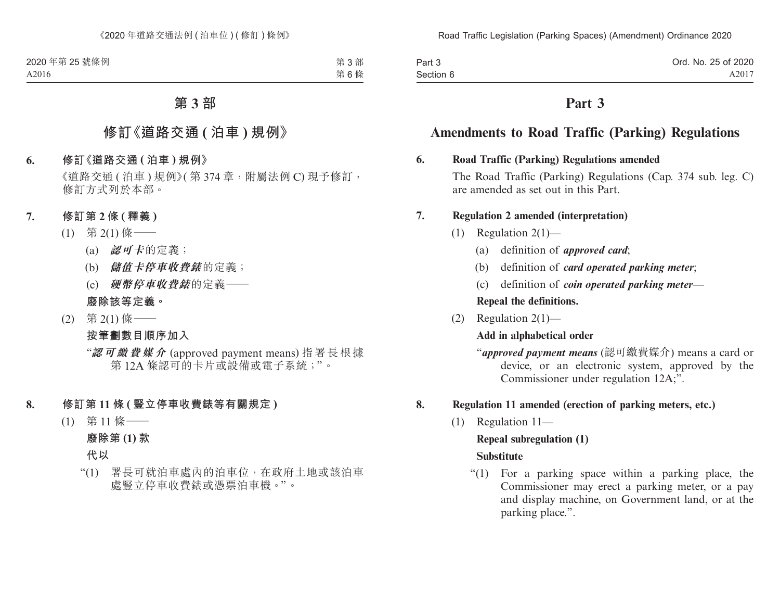| Part 3    | Ord. No. 25 of 2020 |
|-----------|---------------------|
| Section 6 | A2017               |

## **Part 3**

## **Amendments to Road Traffic (Parking) Regulations**

#### **6. Road Traffic (Parking) Regulations amended**

The Road Traffic (Parking) Regulations (Cap. 374 sub. leg. C) are amended as set out in this Part.

### **7. Regulation 2 amended (interpretation)**

- (1) Regulation 2(1)—
	- (a) definition of *approved card*;
	- (b) definition of *card operated parking meter*;
	- (c) definition of *coin operated parking meter*—

**Repeal the definitions.**

(2) Regulation 2(1)—

## **Add in alphabetical order**

"*approved payment means* (認可繳費媒介) means a card or device, or an electronic system, approved by the Commissioner under regulation 12A;".

## **8. Regulation 11 amended (erection of parking meters, etc.)**

(1) Regulation 11—

## **Repeal subregulation (1)**

## **Substitute**

"(1) For a parking space within a parking place, the Commissioner may erect a parking meter, or a pay and display machine, on Government land, or at the parking place.".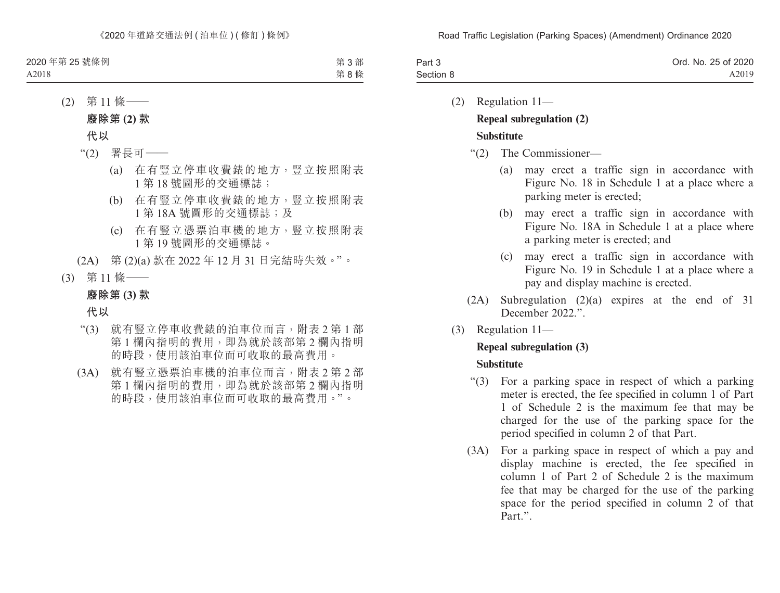| Part 3    | Ord. No. 25 of 2020 |
|-----------|---------------------|
| Section 8 | A2019               |

(2) Regulation 11—

# **Repeal subregulation (2)**

### **Substitute**

- "(2) The Commissioner—
	- (a) may erect a traffic sign in accordance with Figure No. 18 in Schedule 1 at a place where a parking meter is erected;
	- (b) may erect a traffic sign in accordance with Figure No. 18A in Schedule 1 at a place where a parking meter is erected; and
	- (c) may erect a traffic sign in accordance with Figure No. 19 in Schedule 1 at a place where a pay and display machine is erected.
- (2A) Subregulation (2)(a) expires at the end of 31 December 2022."
- (3) Regulation 11—

## **Repeal subregulation (3)**

## **Substitute**

- "(3) For a parking space in respect of which a parking meter is erected, the fee specified in column 1 of Part 1 of Schedule 2 is the maximum fee that may be charged for the use of the parking space for the period specified in column 2 of that Part.
- (3A) For a parking space in respect of which a pay and display machine is erected, the fee specified in column 1 of Part 2 of Schedule 2 is the maximum fee that may be charged for the use of the parking space for the period specified in column 2 of that Part.".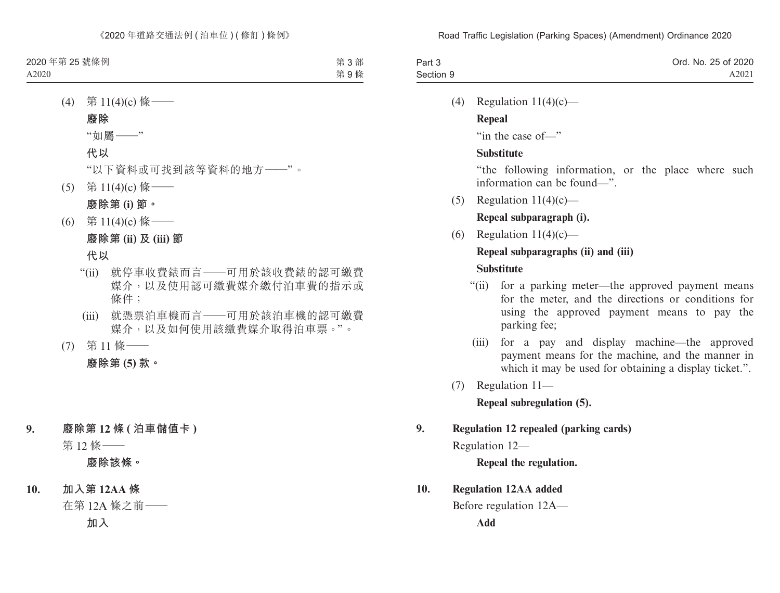| Part 3    | Ord. No. 25 of 2020 |
|-----------|---------------------|
| Section 9 | A2021               |

(4) Regulation  $11(4)(c)$ —

#### **Repeal**

"in the case of—"

## **Substitute**

"the following information, or the place where such information can be found—".

(5) Regulation  $11(4)(c)$ —

## **Repeal subparagraph (i).**

(6) Regulation  $11(4)(c)$ —

## **Repeal subparagraphs (ii) and (iii)**

### **Substitute**

- "(ii) for a parking meter—the approved payment means for the meter, and the directions or conditions for using the approved payment means to pay the parking fee;
- (iii) for a pay and display machine—the approved payment means for the machine, and the manner in which it may be used for obtaining a display ticket.".
- (7) Regulation 11—

**Repeal subregulation (5).**

## **9. Regulation 12 repealed (parking cards)**

Regulation 12—

**Repeal the regulation.**

## **10. Regulation 12AA added**

Before regulation 12A—

**Add**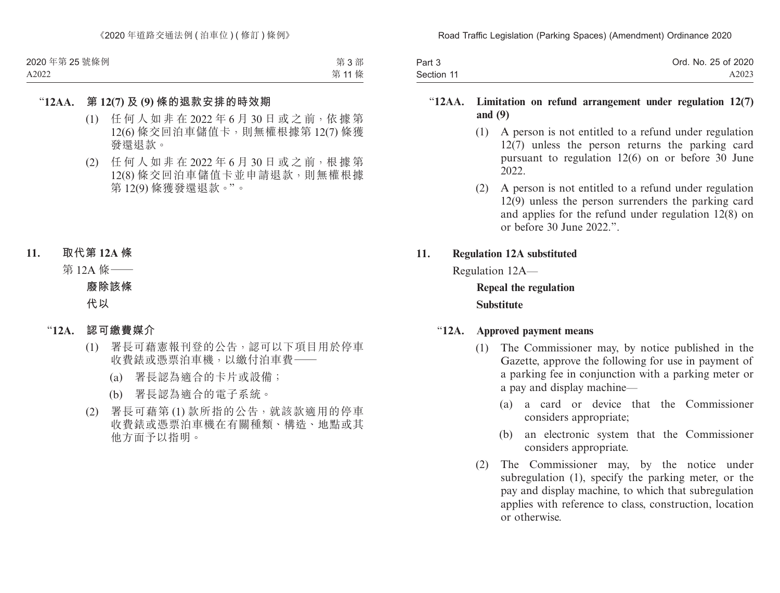| Part 3     | Ord. No. 25 of 2020 |
|------------|---------------------|
| Section 11 | A2023               |

#### "**12AA. Limitation on refund arrangement under regulation 12(7) and (9)**

- (1) A person is not entitled to a refund under regulation 12(7) unless the person returns the parking card pursuant to regulation 12(6) on or before 30 June 2022.
- (2) A person is not entitled to a refund under regulation 12(9) unless the person surrenders the parking card and applies for the refund under regulation 12(8) on or before 30 June 2022.".

#### **11. Regulation 12A substituted**

Regulation 12A—

**Repeal the regulation Substitute**

#### "**12A. Approved payment means**

- (1) The Commissioner may, by notice published in the Gazette, approve the following for use in payment of a parking fee in conjunction with a parking meter or a pay and display machine—
	- (a) a card or device that the Commissioner considers appropriate;
	- (b) an electronic system that the Commissioner considers appropriate.
- (2) The Commissioner may, by the notice under subregulation (1), specify the parking meter, or the pay and display machine, to which that subregulation applies with reference to class, construction, location or otherwise.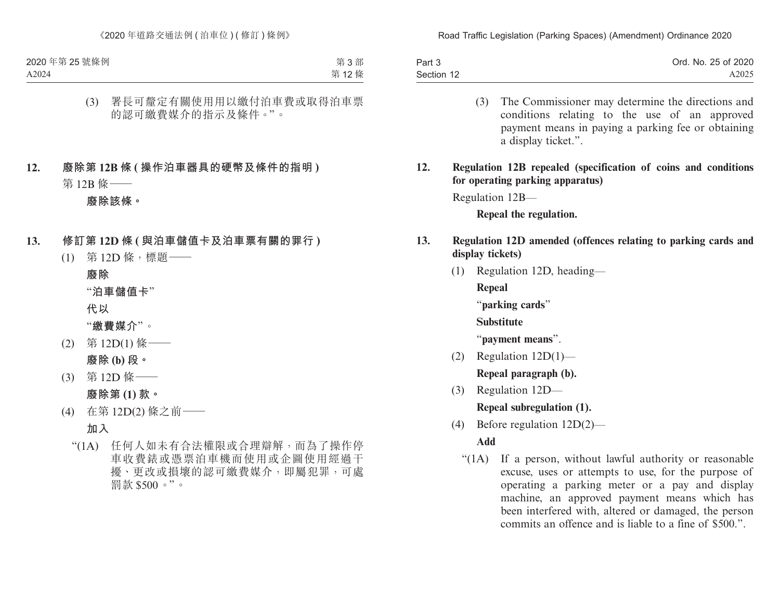| Part 3     | Ord. No. 25 of 2020 |
|------------|---------------------|
| Section 12 | A2025               |

- (3) The Commissioner may determine the directions and conditions relating to the use of an approved payment means in paying a parking fee or obtaining a display ticket.".
- **12. Regulation 12B repealed (specification of coins and conditions for operating parking apparatus)**

Regulation 12B—

**Repeal the regulation.**

### **13. Regulation 12D amended (offences relating to parking cards and display tickets)**

(1) Regulation 12D, heading—

**Repeal**

"**parking cards**"

#### **Substitute**

"**payment means**".

- (2) Regulation 12D(1)— **Repeal paragraph (b).**
- (3) Regulation 12D— **Repeal subregulation (1).**
- (4) Before regulation 12D(2)—

## **Add**

"(1A) If a person, without lawful authority or reasonable excuse, uses or attempts to use, for the purpose of operating a parking meter or a pay and display machine, an approved payment means which has been interfered with, altered or damaged, the person commits an offence and is liable to a fine of \$500.".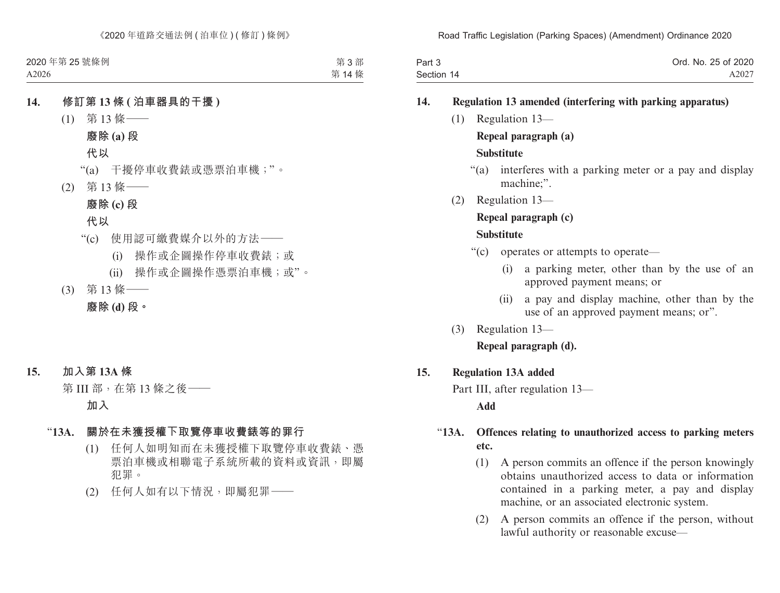| Part 3     | Ord. No. 25 of 2020 |
|------------|---------------------|
| Section 14 | A2027               |

#### **14. Regulation 13 amended (interfering with parking apparatus)**

(1) Regulation 13—

**Repeal paragraph (a)**

#### **Substitute**

- "(a) interferes with a parking meter or a pay and display machine;".
- (2) Regulation 13—

### **Repeal paragraph (c)**

#### **Substitute**

- "(c) operates or attempts to operate—
	- (i) a parking meter, other than by the use of an approved payment means; or
	- (ii) a pay and display machine, other than by the use of an approved payment means; or".
- (3) Regulation 13—

#### **Repeal paragraph (d).**

#### **15. Regulation 13A added**

Part III, after regulation 13—

#### **Add**

## "**13A. Offences relating to unauthorized access to parking meters etc.**

- (1) A person commits an offence if the person knowingly obtains unauthorized access to data or information contained in a parking meter, a pay and display machine, or an associated electronic system.
- (2) A person commits an offence if the person, without lawful authority or reasonable excuse—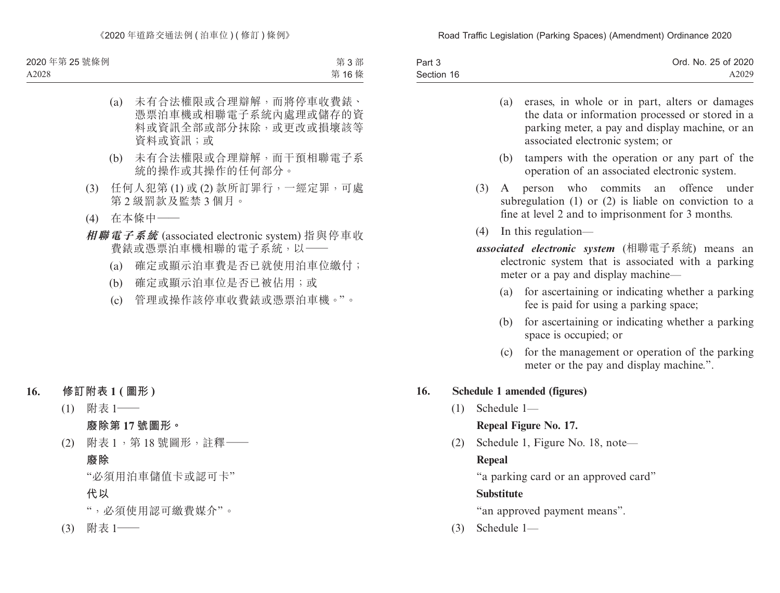| Part 3     | Ord. No. 25 of 2020 |
|------------|---------------------|
| Section 16 | A2029               |

- (a) erases, in whole or in part, alters or damages the data or information processed or stored in a parking meter, a pay and display machine, or an associated electronic system; or
- (b) tampers with the operation or any part of the operation of an associated electronic system.
- (3) A person who commits an offence under subregulation (1) or (2) is liable on conviction to a fine at level 2 and to imprisonment for 3 months.
- (4) In this regulation—
- *associated electronic system* (相聯電子系統) means an electronic system that is associated with a parking meter or a pay and display machine—
	- (a) for ascertaining or indicating whether a parking fee is paid for using a parking space;
	- (b) for ascertaining or indicating whether a parking space is occupied; or
	- (c) for the management or operation of the parking meter or the pay and display machine.".

#### **16. Schedule 1 amended (figures)**

(1) Schedule 1—

**Repeal Figure No. 17.**

(2) Schedule 1, Figure No. 18, note—

## **Repeal**

"a parking card or an approved card"

## **Substitute**

"an approved payment means".

(3) Schedule 1—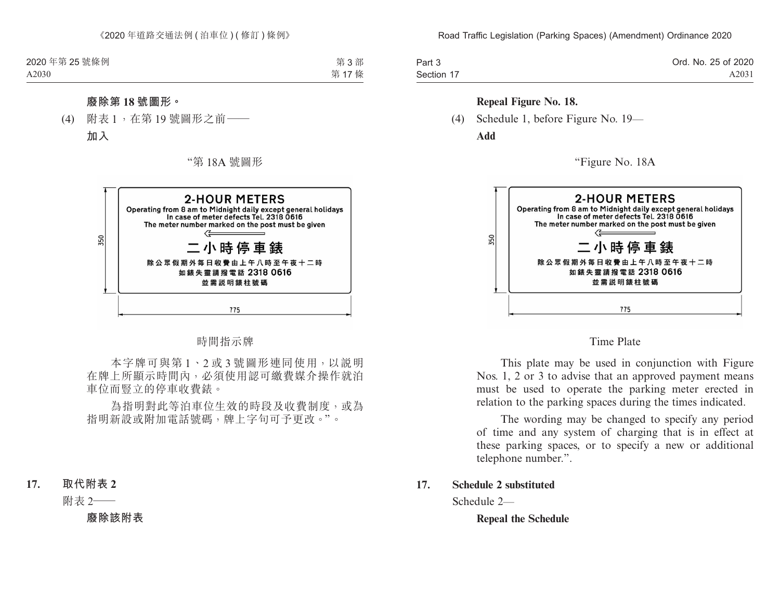| Part 3     | Ord. No. 25 of 2020 |
|------------|---------------------|
| Section 17 | A2031               |

#### **Repeal Figure No. 18.**

(4) Schedule 1, before Figure No. 19— **Add**

"Figure No. 18A



Time Plate

This plate may be used in conjunction with Figure Nos. 1, 2 or 3 to advise that an approved payment means must be used to operate the parking meter erected in relation to the parking spaces during the times indicated.

The wording may be changed to specify any period of time and any system of charging that is in effect at these parking spaces, or to specify a new or additional telephone number.".

**17. Schedule 2 substituted**

Schedule 2—

**Repeal the Schedule**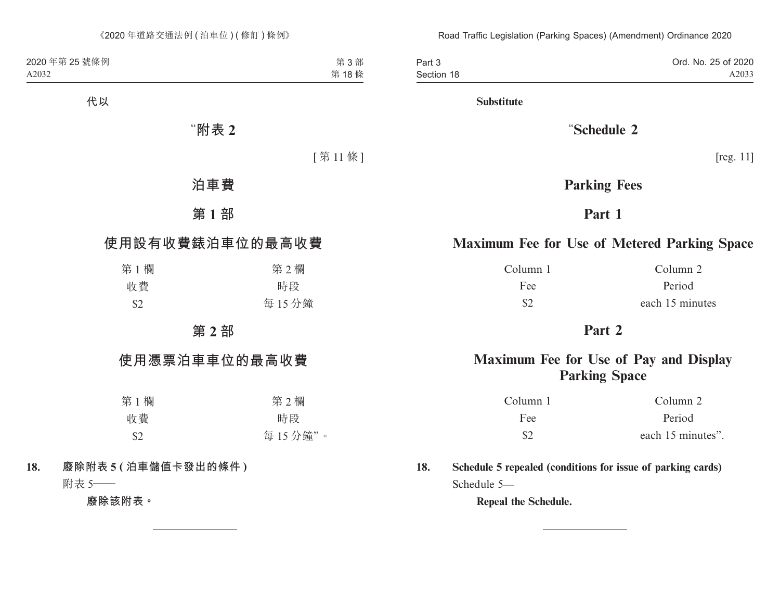Part 3 Section 18 Ord. No. 25 of 2020 A2033

**Substitute**

## "**Schedule 2**

[reg. 11]

## **Parking Fees**

## **Part 1**

## **Maximum Fee for Use of Metered Parking Space**

Column 1 Column 2 Fee Period \$2 each 15 minutes

## **Part 2**

## **Maximum Fee for Use of Pay and Display Parking Space**

| Column 1      | Column 2          |
|---------------|-------------------|
| Fee:          | Period            |
| $\mathcal{S}$ | each 15 minutes". |

**18. Schedule 5 repealed (conditions for issue of parking cards)** Schedule 5—

**Repeal the Schedule.**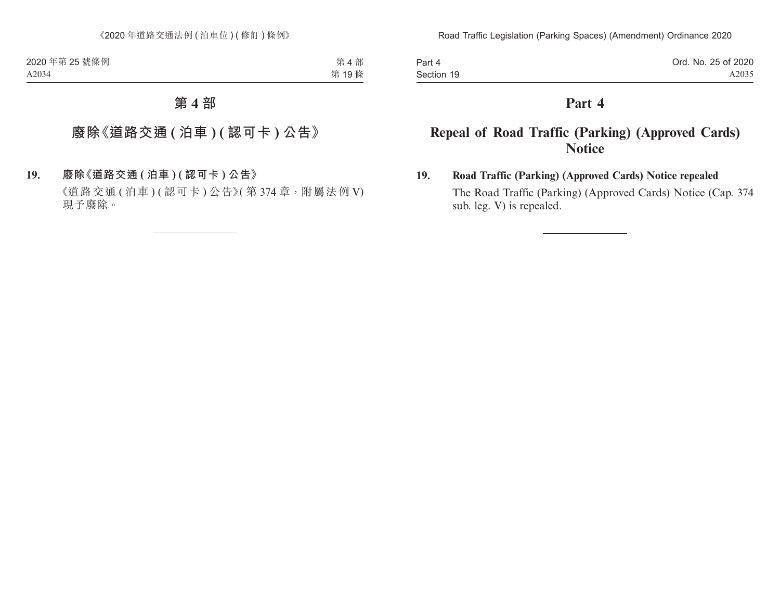Part 4 Section 19

## **Part 4**

## **Repeal of Road Traffic (Parking) (Approved Cards) Notice**

## **19. Road Traffic (Parking) (Approved Cards) Notice repealed**

The Road Traffic (Parking) (Approved Cards) Notice (Cap. 374 sub. leg. V) is repealed.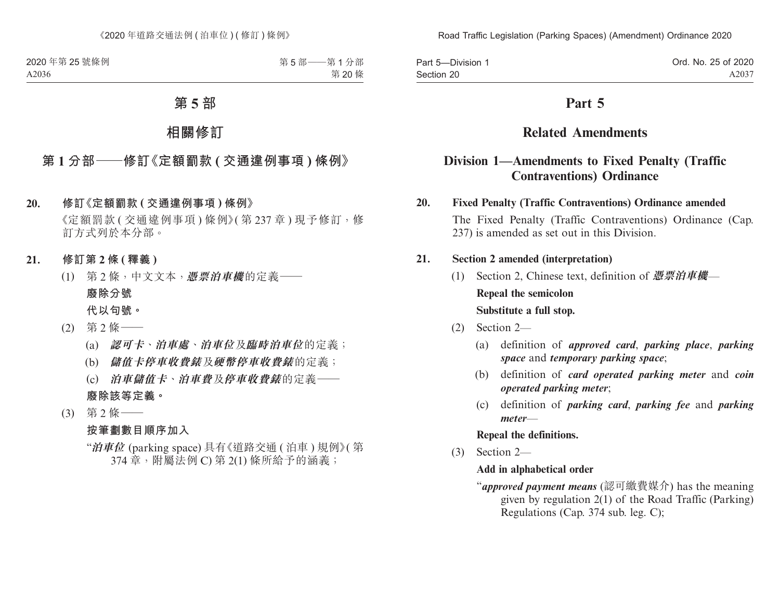| Part 5-Division 1 | Ord. No. 25 of 2020 |
|-------------------|---------------------|
| Section 20        | A2037               |

## **Part 5**

## **Related Amendments**

## **Division 1—Amendments to Fixed Penalty (Traffic Contraventions) Ordinance**

#### **20. Fixed Penalty (Traffic Contraventions) Ordinance amended**

The Fixed Penalty (Traffic Contraventions) Ordinance (Cap. 237) is amended as set out in this Division.

#### **21. Section 2 amended (interpretation)**

- (1) Section 2, Chinese text, definition of **憑票泊車機 Repeal the semicolon Substitute a full stop.**
- (2) Section 2—
	- (a) definition of *approved card*, *parking place*, *parking space* and *temporary parking space*;
	- (b) definition of *card operated parking meter* and *coin operated parking meter*;
	- (c) definition of *parking card*, *parking fee* and *parking meter*—

#### **Repeal the definitions.**

(3) Section 2—

#### **Add in alphabetical order**

"*approved payment means* (認可繳費媒介) has the meaning given by regulation 2(1) of the Road Traffic (Parking) Regulations (Cap. 374 sub. leg. C);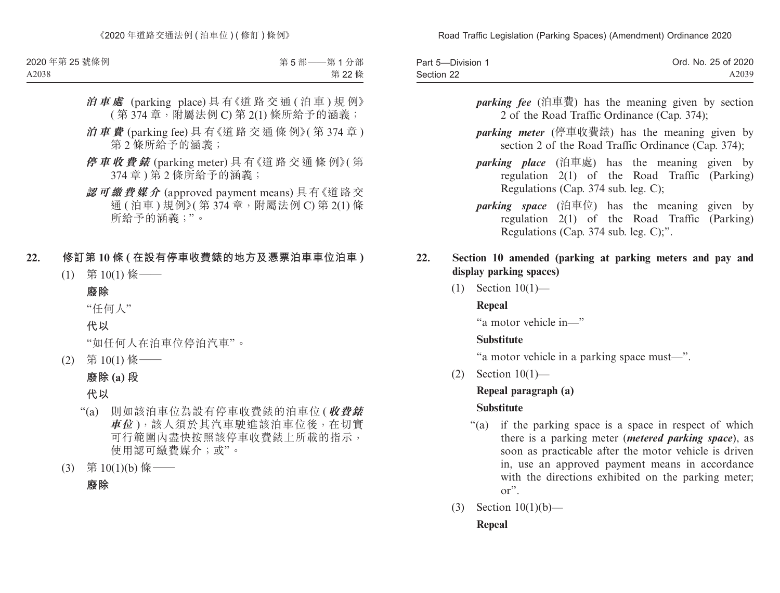| Part 5-Division 1 | Ord. No. 25 of 2020 |
|-------------------|---------------------|
| Section 22        | A2039               |

- *parking fee* (泊車費) has the meaning given by section 2 of the Road Traffic Ordinance (Cap. 374);
- *parking meter* (停車收費錶) has the meaning given by section 2 of the Road Traffic Ordinance (Cap. 374);
- *parking place* (泊車處) has the meaning given by regulation 2(1) of the Road Traffic (Parking) Regulations (Cap. 374 sub. leg. C);
- *parking space* (泊車位) has the meaning given by regulation 2(1) of the Road Traffic (Parking) Regulations (Cap. 374 sub. leg. C);".

#### **22. Section 10 amended (parking at parking meters and pay and display parking spaces)**

(1) Section 10(1)—

## **Repeal**

"a motor vehicle in—"

## **Substitute**

"a motor vehicle in a parking space must—".

(2) Section 10(1)—

## **Repeal paragraph (a)**

## **Substitute**

- "(a) if the parking space is a space in respect of which there is a parking meter (*metered parking space*), as soon as practicable after the motor vehicle is driven in, use an approved payment means in accordance with the directions exhibited on the parking meter; or".
- (3) Section 10(1)(b)— **Repeal**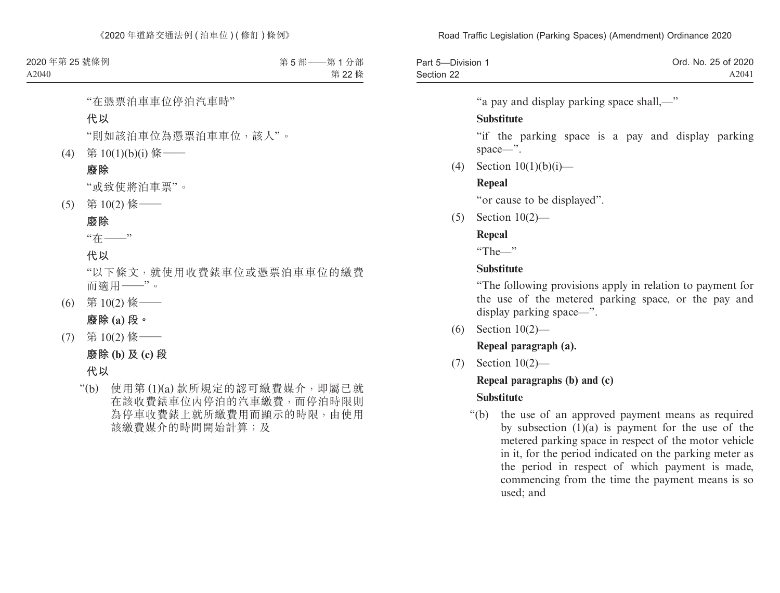| Part 5-Division 1 | Ord. No. 25 of 2020 |
|-------------------|---------------------|
| Section 22        | A2041               |

"a pay and display parking space shall,—"

#### **Substitute**

"if the parking space is a pay and display parking space—".

(4) Section  $10(1)(b)(i)$ —

## **Repeal**

"or cause to be displayed".

(5) Section 10(2)—

## **Repeal**

"The—"

## **Substitute**

"The following provisions apply in relation to payment for the use of the metered parking space, or the pay and display parking space—".

(6) Section 10(2)—

**Repeal paragraph (a).**

(7) Section 10(2)—

## **Repeal paragraphs (b) and (c)**

## **Substitute**

"(b) the use of an approved payment means as required by subsection (1)(a) is payment for the use of the metered parking space in respect of the motor vehicle in it, for the period indicated on the parking meter as the period in respect of which payment is made, commencing from the time the payment means is so used; and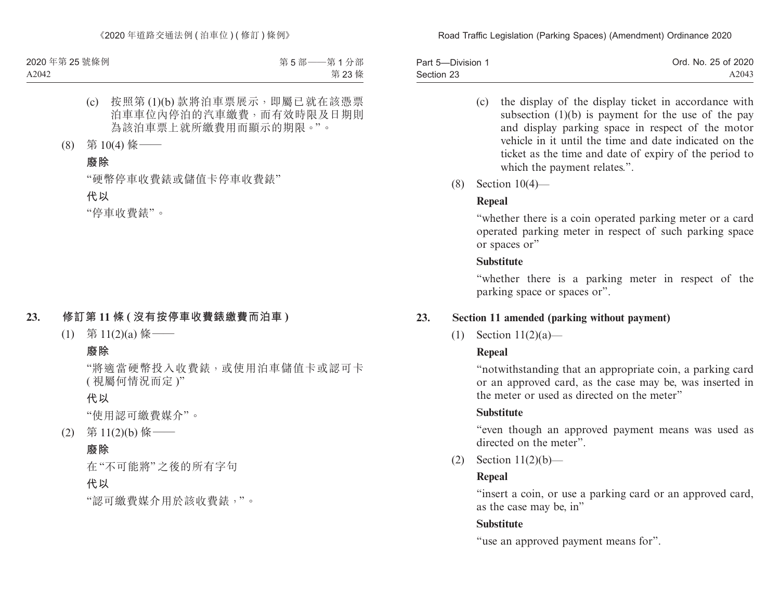| Part 5-Division 1 | Ord. No. 25 of 2020 |
|-------------------|---------------------|
| Section 23        | A2043               |

- (c) the display of the display ticket in accordance with subsection (1)(b) is payment for the use of the pay and display parking space in respect of the motor vehicle in it until the time and date indicated on the ticket as the time and date of expiry of the period to which the payment relates.".
- (8) Section 10(4)—

## **Repeal**

"whether there is a coin operated parking meter or a card operated parking meter in respect of such parking space or spaces or"

### **Substitute**

"whether there is a parking meter in respect of the parking space or spaces or".

## **23. Section 11 amended (parking without payment)**

(1) Section 11(2)(a)—

## **Repeal**

"notwithstanding that an appropriate coin, a parking card or an approved card, as the case may be, was inserted in the meter or used as directed on the meter"

## **Substitute**

"even though an approved payment means was used as directed on the meter".

(2) Section 11(2)(b)—

## **Repeal**

"insert a coin, or use a parking card or an approved card, as the case may be, in"

## **Substitute**

"use an approved payment means for".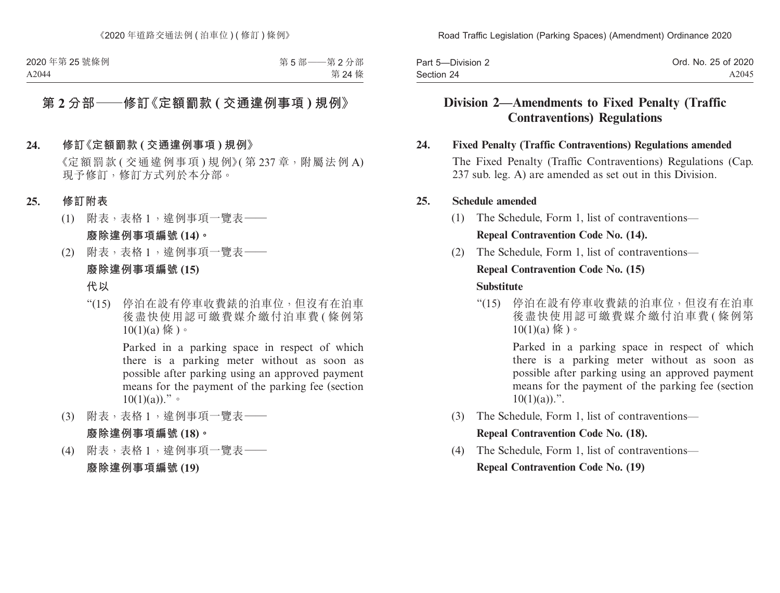| Part 5-Division 2 | Ord. No. 25 of 2020 |
|-------------------|---------------------|
| Section 24        | A2045               |

## **Division 2—Amendments to Fixed Penalty (Traffic Contraventions) Regulations**

#### **24. Fixed Penalty (Traffic Contraventions) Regulations amended**

The Fixed Penalty (Traffic Contraventions) Regulations (Cap. 237 sub. leg. A) are amended as set out in this Division.

#### **25. Schedule amended**

(1) The Schedule, Form 1, list of contraventions—

### **Repeal Contravention Code No. (14).**

(2) The Schedule, Form 1, list of contraventions—

#### **Repeal Contravention Code No. (15)**

#### **Substitute**

"(15) 停泊在設有停車收費錶的泊車位,但沒有在泊車 後盡快使用認可繳費媒介繳付泊車費 (條例第  $10(1)(a)$  條 )。

> Parked in a parking space in respect of which there is a parking meter without as soon as possible after parking using an approved payment means for the payment of the parking fee (section  $10(1)(a)$ .".

- (3) The Schedule, Form 1, list of contraventions— **Repeal Contravention Code No. (18).**
- (4) The Schedule, Form 1, list of contraventions— **Repeal Contravention Code No. (19)**